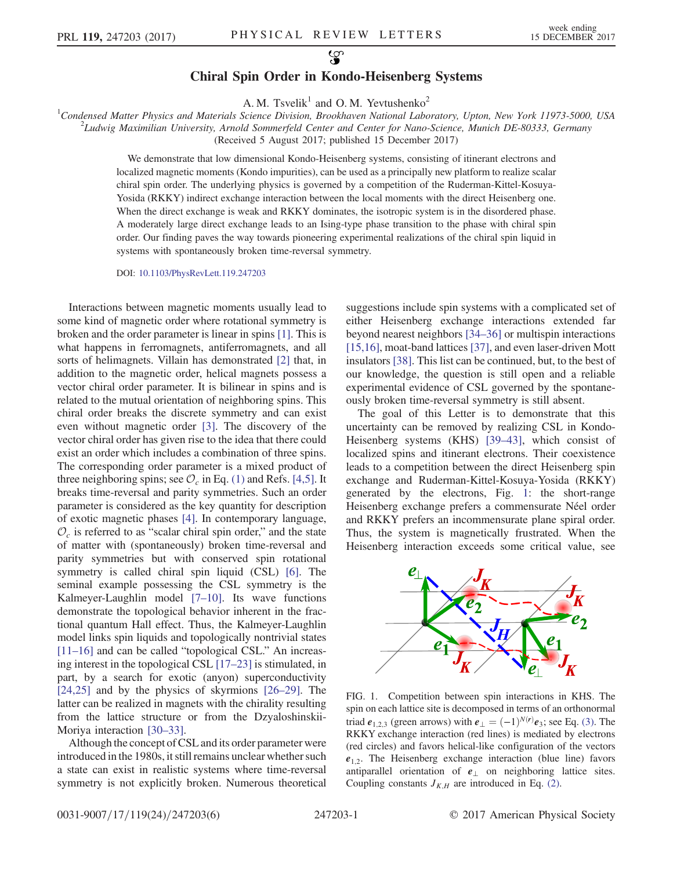## $\mathcal{G}$ Chiral Spin Order in Kondo-Heisenberg Systems

A. M. Tsvelik<sup>1</sup> and O. M. Yevtushenko<sup>2</sup>

<sup>1</sup>Condensed Matter Physics and Materials Science Division, Brookhaven National Laboratory, Upton, New York 11973-5000, USA 21 university and Materials Science Division, Brookhaven National Laboratory, Upton, New York 1197  $L^2$ Ludwig Maximilian University, Arnold Sommerfeld Center and Center for Nano-Science, Munich DE-80333, Germany (Received 5 August 2017; published 15 December 2017)

> We demonstrate that low dimensional Kondo-Heisenberg systems, consisting of itinerant electrons and localized magnetic moments (Kondo impurities), can be used as a principally new platform to realize scalar chiral spin order. The underlying physics is governed by a competition of the Ruderman-Kittel-Kosuya-Yosida (RKKY) indirect exchange interaction between the local moments with the direct Heisenberg one. When the direct exchange is weak and RKKY dominates, the isotropic system is in the disordered phase. A moderately large direct exchange leads to an Ising-type phase transition to the phase with chiral spin order. Our finding paves the way towards pioneering experimental realizations of the chiral spin liquid in systems with spontaneously broken time-reversal symmetry.

DOI: [10.1103/PhysRevLett.119.247203](https://doi.org/10.1103/PhysRevLett.119.247203)

Interactions between magnetic moments usually lead to some kind of magnetic order where rotational symmetry is broken and the order parameter is linear in spins [\[1\]](#page-4-0). This is what happens in ferromagnets, antiferromagnets, and all sorts of helimagnets. Villain has demonstrated [\[2\]](#page-4-1) that, in addition to the magnetic order, helical magnets possess a vector chiral order parameter. It is bilinear in spins and is related to the mutual orientation of neighboring spins. This chiral order breaks the discrete symmetry and can exist even without magnetic order [\[3\].](#page-4-2) The discovery of the vector chiral order has given rise to the idea that there could exist an order which includes a combination of three spins. The corresponding order parameter is a mixed product of three neighboring spins; see  $\mathcal{O}_c$  in Eq. [\(1\)](#page-1-0) and Refs. [\[4,5\].](#page-4-3) It breaks time-reversal and parity symmetries. Such an order parameter is considered as the key quantity for description of exotic magnetic phases [\[4\].](#page-4-3) In contemporary language,  $\mathcal{O}_c$  is referred to as "scalar chiral spin order," and the state of matter with (spontaneously) broken time-reversal and parity symmetries but with conserved spin rotational symmetry is called chiral spin liquid (CSL) [\[6\].](#page-4-4) The seminal example possessing the CSL symmetry is the Kalmeyer-Laughlin model  $[7-10]$ . Its wave functions demonstrate the topological behavior inherent in the fractional quantum Hall effect. Thus, the Kalmeyer-Laughlin model links spin liquids and topologically nontrivial states [\[11](#page-4-6)–16] and can be called "topological CSL." An increasing interest in the topological CSL [\[17](#page-4-7)–23] is stimulated, in part, by a search for exotic (anyon) superconductivity [\[24,25\]](#page-4-8) and by the physics of skyrmions [\[26](#page-4-9)–29]. The latter can be realized in magnets with the chirality resulting from the lattice structure or from the Dzyaloshinskii-Moriya interaction [\[30](#page-4-10)–33].

Although the concept of CSL and its order parameter were introduced in the 1980s, it still remains unclear whether such a state can exist in realistic systems where time-reversal symmetry is not explicitly broken. Numerous theoretical suggestions include spin systems with a complicated set of either Heisenberg exchange interactions extended far beyond nearest neighbors [\[34](#page-4-11)–36] or multispin interactions [\[15,16\]](#page-4-12), moat-band lattices [\[37\]](#page-4-13), and even laser-driven Mott insulators [\[38\].](#page-4-14) This list can be continued, but, to the best of our knowledge, the question is still open and a reliable experimental evidence of CSL governed by the spontaneously broken time-reversal symmetry is still absent.

The goal of this Letter is to demonstrate that this uncertainty can be removed by realizing CSL in Kondo-Heisenberg systems (KHS) [\[39](#page-4-15)–43], which consist of localized spins and itinerant electrons. Their coexistence leads to a competition between the direct Heisenberg spin exchange and Ruderman-Kittel-Kosuya-Yosida (RKKY) generated by the electrons, Fig. [1:](#page-0-0) the short-range Heisenberg exchange prefers a commensurate Néel order and RKKY prefers an incommensurate plane spiral order. Thus, the system is magnetically frustrated. When the Heisenberg interaction exceeds some critical value, see

<span id="page-0-0"></span>

FIG. 1. Competition between spin interactions in KHS. The spin on each lattice site is decomposed in terms of an orthonormal triad  $e_{1,2,3}$  (green arrows) with  $e_{\perp} = (-1)^{N(r)} e_3$ ; see Eq. [\(3\)](#page-2-0). The RKKV exchange interaction (red lines) is mediated by electrons RKKY exchange interaction (red lines) is mediated by electrons (red circles) and favors helical-like configuration of the vectors  $e_{1,2}$ . The Heisenberg exchange interaction (blue line) favors antiparallel orientation of e<sup>⊥</sup> on neighboring lattice sites. Coupling constants  $J_{K,H}$  are introduced in Eq. [\(2\)](#page-1-1).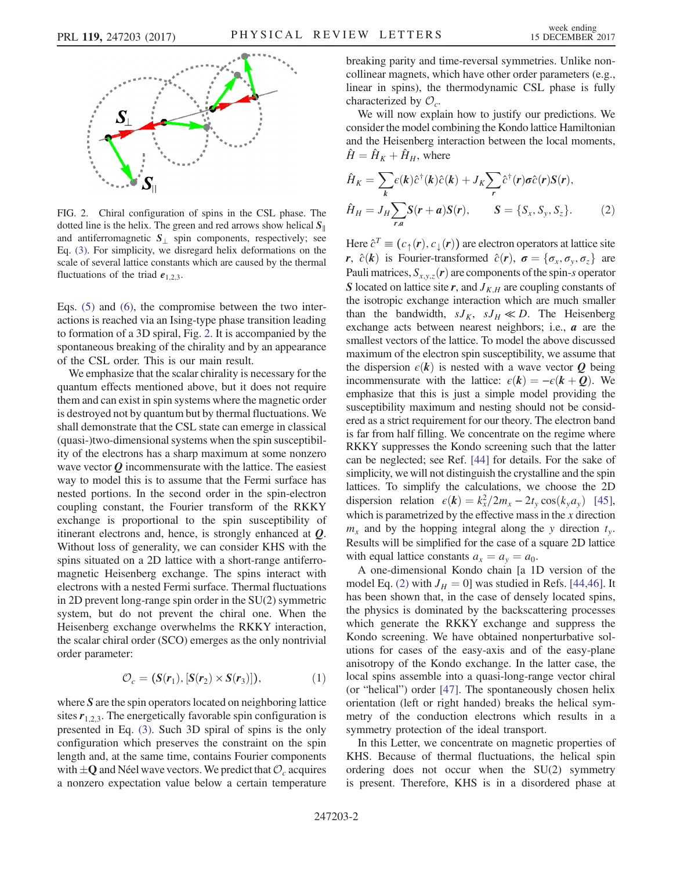<span id="page-1-2"></span>

FIG. 2. Chiral configuration of spins in the CSL phase. The dotted line is the helix. The green and red arrows show helical  $S_{\parallel}$ and antiferromagnetic  $S_{\perp}$  spin components, respectively; see Eq. [\(3\)](#page-2-0). For simplicity, we disregard helix deformations on the scale of several lattice constants which are caused by the thermal fluctuations of the triad  $e_{1,2,3}$ .

Eqs. [\(5\)](#page-2-1) and [\(6\)](#page-2-2), the compromise between the two interactions is reached via an Ising-type phase transition leading to formation of a 3D spiral, Fig. [2](#page-1-2). It is accompanied by the spontaneous breaking of the chirality and by an appearance of the CSL order. This is our main result.

We emphasize that the scalar chirality is necessary for the quantum effects mentioned above, but it does not require them and can exist in spin systems where the magnetic order is destroyed not by quantum but by thermal fluctuations. We shall demonstrate that the CSL state can emerge in classical (quasi-)two-dimensional systems when the spin susceptibility of the electrons has a sharp maximum at some nonzero wave vector  $Q$  incommensurate with the lattice. The easiest way to model this is to assume that the Fermi surface has nested portions. In the second order in the spin-electron coupling constant, the Fourier transform of the RKKY exchange is proportional to the spin susceptibility of itinerant electrons and, hence, is strongly enhanced at  $Q$ . Without loss of generality, we can consider KHS with the spins situated on a 2D lattice with a short-range antiferromagnetic Heisenberg exchange. The spins interact with electrons with a nested Fermi surface. Thermal fluctuations in 2D prevent long-range spin order in the SU(2) symmetric system, but do not prevent the chiral one. When the Heisenberg exchange overwhelms the RKKY interaction, the scalar chiral order (SCO) emerges as the only nontrivial order parameter:

$$
\mathcal{O}_c = (\mathbf{S}(\mathbf{r}_1), [\mathbf{S}(\mathbf{r}_2) \times \mathbf{S}(\mathbf{r}_3)]), \tag{1}
$$

<span id="page-1-0"></span>where S are the spin operators located on neighboring lattice sites  $r_{1,2,3}$ . The energetically favorable spin configuration is presented in Eq. [\(3\).](#page-2-0) Such 3D spiral of spins is the only configuration which preserves the constraint on the spin length and, at the same time, contains Fourier components with  $\pm Q$  and Néel wave vectors. We predict that  $\mathcal{O}_c$  acquires a nonzero expectation value below a certain temperature breaking parity and time-reversal symmetries. Unlike noncollinear magnets, which have other order parameters (e.g., linear in spins), the thermodynamic CSL phase is fully characterized by  $\mathcal{O}_c$ .

We will now explain how to justify our predictions. We consider the model combining the Kondo lattice Hamiltonian and the Heisenberg interaction between the local moments,  $\hat{H} = \hat{H}_K + \hat{H}_H$ , where

<span id="page-1-1"></span>
$$
\hat{H}_K = \sum_k \epsilon(k)\hat{c}^\dagger(k)\hat{c}(k) + J_K \sum_r \hat{c}^\dagger(r)\sigma\hat{c}(r)S(r),
$$
  

$$
\hat{H}_H = J_H \sum_{r,a} S(r+a)S(r), \qquad S = \{S_x, S_y, S_z\}.
$$
 (2)

Here  $\hat{c}^T \equiv (c_{\uparrow}(\mathbf{r}), c_{\perp}(\mathbf{r}))$  are electron operators at lattice site r,  $\hat{c}(\mathbf{k})$  is Fourier-transformed  $\hat{c}(\mathbf{r})$ ,  $\sigma = {\sigma_x, \sigma_y, \sigma_z}$  are Pauli matrices,  $S_{x,y,z}(\boldsymbol{r})$  are components of the spin-s operator S located on lattice site r, and  $J_{K,H}$  are coupling constants of the isotropic exchange interaction which are much smaller than the bandwidth,  $sJ_K$ ,  $sJ_H \ll D$ . The Heisenberg exchange acts between nearest neighbors; i.e.,  $a$  are the smallest vectors of the lattice. To model the above discussed maximum of the electron spin susceptibility, we assume that the dispersion  $\epsilon(k)$  is nested with a wave vector Q being incommensurate with the lattice:  $\epsilon(\mathbf{k}) = -\epsilon(\mathbf{k} + \mathbf{Q})$ . We emphasize that this is just a simple model providing the susceptibility maximum and nesting should not be considered as a strict requirement for our theory. The electron band is far from half filling. We concentrate on the regime where RKKY suppresses the Kondo screening such that the latter can be neglected; see Ref. [\[44\]](#page-4-16) for details. For the sake of simplicity, we will not distinguish the crystalline and the spin lattices. To simplify the calculations, we choose the 2D dispersion relation  $\epsilon(\mathbf{k}) = k_x^2/2m_x - 2t_y \cos(k_y a_y)$  [\[45\]](#page-4-17),<br>which is parametrized by the effective mass in the x direction which is parametrized by the effective mass in the  $x$  direction  $m<sub>x</sub>$  and by the hopping integral along the y direction  $t<sub>y</sub>$ . Results will be simplified for the case of a square 2D lattice with equal lattice constants  $a_x = a_y = a_0$ .

A one-dimensional Kondo chain [a 1D version of the model Eq. [\(2\)](#page-1-1) with  $J_H = 0$ ] was studied in Refs. [\[44,46\].](#page-4-16) It has been shown that, in the case of densely located spins, the physics is dominated by the backscattering processes which generate the RKKY exchange and suppress the Kondo screening. We have obtained nonperturbative solutions for cases of the easy-axis and of the easy-plane anisotropy of the Kondo exchange. In the latter case, the local spins assemble into a quasi-long-range vector chiral (or "helical") order [\[47\]](#page-5-0). The spontaneously chosen helix orientation (left or right handed) breaks the helical symmetry of the conduction electrons which results in a symmetry protection of the ideal transport.

In this Letter, we concentrate on magnetic properties of KHS. Because of thermal fluctuations, the helical spin ordering does not occur when the SU(2) symmetry is present. Therefore, KHS is in a disordered phase at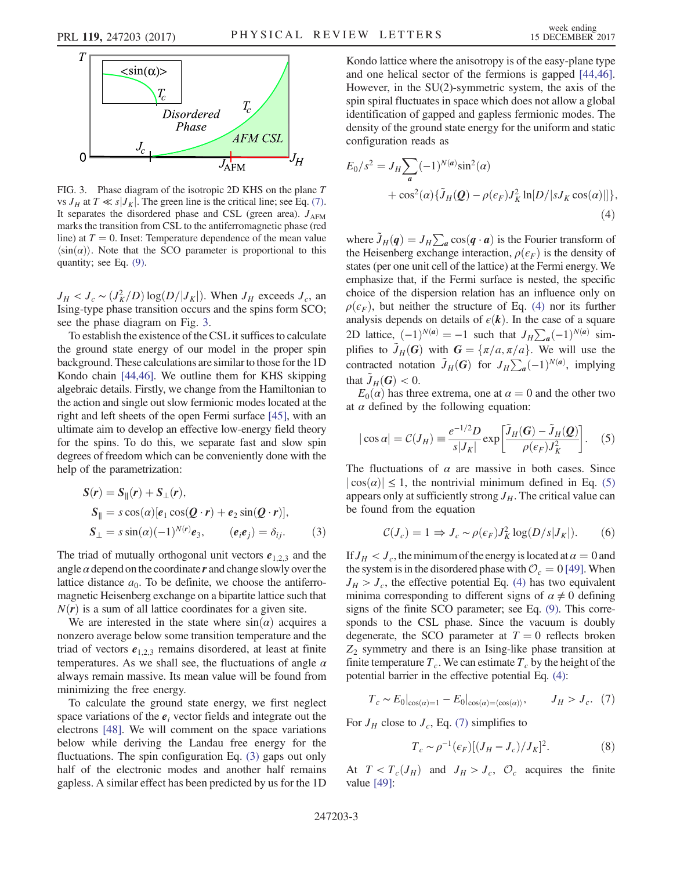<span id="page-2-3"></span>

FIG. 3. Phase diagram of the isotropic 2D KHS on the plane  $T$ vs  $J_H$  at  $T \ll s |J_K|$ . The green line is the critical line; see Eq. [\(7\).](#page-2-6) It separates the disordered phase and CSL (green area).  $J_{AFM}$ marks the transition from CSL to the antiferromagnetic phase (red line) at  $T = 0$ . Inset: Temperature dependence of the mean value  $\langle \sin(\alpha) \rangle$ . Note that the SCO parameter is proportional to this quantity; see Eq. [\(9\)](#page-2-5).

 $J_H < J_c \sim (J_K^2/D) \log(D/|J_K|)$ . When  $J_H$  exceeds  $J_c$ , and begins type phase transition occurs and the spins form SCO: Ising-type phase transition occurs and the spins form SCO; see the phase diagram on Fig. [3.](#page-2-3)

To establish the existence of the CSL it suffices to calculate the ground state energy of our model in the proper spin background. These calculations are similar to those for the 1D Kondo chain [\[44,46\].](#page-4-16) We outline them for KHS skipping algebraic details. Firstly, we change from the Hamiltonian to the action and single out slow fermionic modes located at the right and left sheets of the open Fermi surface [\[45\],](#page-4-17) with an ultimate aim to develop an effective low-energy field theory for the spins. To do this, we separate fast and slow spin degrees of freedom which can be conveniently done with the help of the parametrization:

<span id="page-2-0"></span>
$$
S(r) = S_{\parallel}(r) + S_{\perp}(r),
$$
  
\n
$$
S_{\parallel} = s \cos(\alpha) [e_1 \cos(Q \cdot r) + e_2 \sin(Q \cdot r)],
$$
  
\n
$$
S_{\perp} = s \sin(\alpha)(-1)^{N(r)} e_3, \qquad (e_i e_j) = \delta_{ij}.
$$
 (3)

The triad of mutually orthogonal unit vectors  $e_{1,2,3}$  and the angle  $\alpha$  depend on the coordinate  $r$  and change slowly over the lattice distance  $a_0$ . To be definite, we choose the antiferromagnetic Heisenberg exchange on a bipartite lattice such that  $N(r)$  is a sum of all lattice coordinates for a given site.

We are interested in the state where  $sin(\alpha)$  acquires a nonzero average below some transition temperature and the triad of vectors  $e_{1,2,3}$  remains disordered, at least at finite temperatures. As we shall see, the fluctuations of angle  $\alpha$ always remain massive. Its mean value will be found from minimizing the free energy.

To calculate the ground state energy, we first neglect space variations of the  $e_i$  vector fields and integrate out the electrons [\[48\].](#page-5-1) We will comment on the space variations below while deriving the Landau free energy for the fluctuations. The spin configuration Eq. [\(3\)](#page-2-0) gaps out only half of the electronic modes and another half remains gapless. A similar effect has been predicted by us for the 1D Kondo lattice where the anisotropy is of the easy-plane type and one helical sector of the fermions is gapped [\[44,46\]](#page-4-16). However, in the SU(2)-symmetric system, the axis of the spin spiral fluctuates in space which does not allow a global identification of gapped and gapless fermionic modes. The density of the ground state energy for the uniform and static configuration reads as

<span id="page-2-4"></span>
$$
E_0/s^2 = J_H \sum_a (-1)^{N(a)} \sin^2(\alpha)
$$
  
+  $\cos^2(\alpha) {\tilde{J}_H(Q) - \rho(\epsilon_F) J_K^2 \ln[D/|s J_K \cos(\alpha)|]},$   
(4)

where  $\tilde{J}_H(q) = J_H \sum_a \cos(q \cdot a)$  is the Fourier transform of the Heisenberg exchange interaction  $q(\epsilon_n)$  is the density of the Heisenberg exchange interaction,  $\rho(\epsilon_F)$  is the density of states (per one unit cell of the lattice) at the Fermi energy. We emphasize that, if the Fermi surface is nested, the specific choice of the dispersion relation has an influence only on  $\rho(\epsilon_F)$ , but neither the structure of Eq. [\(4\)](#page-2-4) nor its further analysis depends on details of  $\epsilon(k)$ . In the case of a square 2D lattice,  $(-1)^{N(a)} = -1$  such that  $J_H \sum_a (-1)^{N(a)}$  simplifies to  $\tilde{J}_a(G)$  with  $G = \{ \pi/a, \pi/a \}$ . We will use the plifies to  $\tilde{J}_H(G)$  with  $G = {\pi/a, \pi/a}$ . We will use the contracted notation  $\tilde{J}_H(G)$  for  $J_H \sum_a (-1)^{N(a)}$ , implying that  $\tilde{J}_H(G) < 0$ .

<span id="page-2-1"></span> $E_0(\alpha)$  has three extrema, one at  $\alpha = 0$  and the other two at  $\alpha$  defined by the following equation:

$$
|\cos \alpha| = C(J_H) \equiv \frac{e^{-1/2}D}{s|J_K|} \exp\left[\frac{\tilde{J}_H(G) - \tilde{J}_H(Q)}{\rho(\epsilon_F)J_K^2}\right].
$$
 (5)

<span id="page-2-2"></span>The fluctuations of  $\alpha$  are massive in both cases. Since  $|\cos(\alpha)| \leq 1$ , the nontrivial minimum defined in Eq. [\(5\)](#page-2-1) appears only at sufficiently strong  $J_H$ . The critical value can be found from the equation

$$
C(J_c) = 1 \Rightarrow J_c \sim \rho(\epsilon_F) J_K^2 \log(D/s |J_K|). \tag{6}
$$

If  $J_H < J_c$ , the minimum of the energy is located at  $\alpha = 0$  and the system is in the disordered phase with  $\mathcal{O}_c = 0$  [\[49\]](#page-5-2). When  $J_H > J_c$ , the effective potential Eq. [\(4\)](#page-2-4) has two equivalent minima corresponding to different signs of  $\alpha \neq 0$  defining signs of the finite SCO parameter; see Eq. [\(9\)](#page-2-5). This corresponds to the CSL phase. Since the vacuum is doubly degenerate, the SCO parameter at  $T = 0$  reflects broken  $Z_2$  symmetry and there is an Ising-like phase transition at finite temperature  $T_c$ . We can estimate  $T_c$  by the height of the potential barrier in the effective potential Eq. [\(4\):](#page-2-4)

<span id="page-2-6"></span>
$$
T_c \sim E_0|_{\cos(\alpha)=1} - E_0|_{\cos(\alpha)=\langle \cos(\alpha) \rangle}, \qquad J_H > J_c. \tag{7}
$$

For  $J_H$  close to  $J_c$ , Eq. [\(7\)](#page-2-6) simplifies to

$$
T_c \sim \rho^{-1}(\epsilon_F)[(J_H - J_c)/J_K]^2. \tag{8}
$$

<span id="page-2-5"></span>At  $T < T_c(J_H)$  and  $J_H > J_c$ ,  $\mathcal{O}_c$  acquires the finite value [\[49\]:](#page-5-2)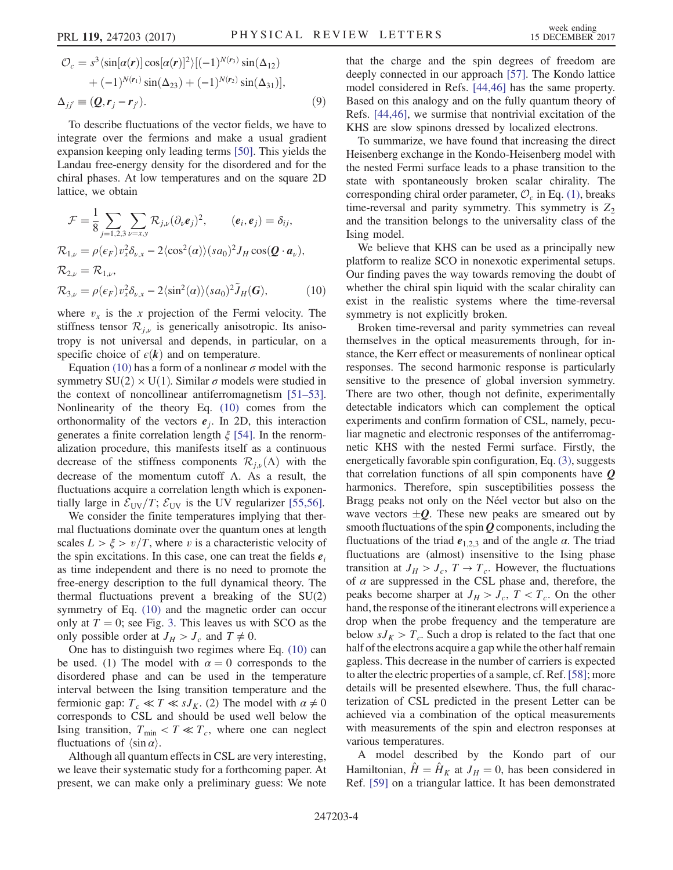$$
\mathcal{O}_c = s^3 \langle \sin[\alpha(\mathbf{r})] \cos[\alpha(\mathbf{r})]^2 \rangle [(-1)^{N(r_3)} \sin(\Delta_{12}) \n+ (-1)^{N(r_1)} \sin(\Delta_{23}) + (-1)^{N(r_2)} \sin(\Delta_{31})],
$$
\n
$$
\Delta_{jj'} \equiv (\mathbf{Q}, \mathbf{r}_j - \mathbf{r}_{j'}).
$$
\n(9)

To describe fluctuations of the vector fields, we have to integrate over the fermions and make a usual gradient expansion keeping only leading terms [\[50\]](#page-5-3). This yields the Landau free-energy density for the disordered and for the chiral phases. At low temperatures and on the square 2D lattice, we obtain

<span id="page-3-0"></span>
$$
\mathcal{F} = \frac{1}{8} \sum_{j=1,2,3} \sum_{\nu=x,y} \mathcal{R}_{j,\nu} (\partial_{\nu} \mathbf{e}_j)^2, \qquad (\mathbf{e}_i, \mathbf{e}_j) = \delta_{ij},
$$
  
\n
$$
\mathcal{R}_{1,\nu} = \rho(\epsilon_F) v_x^2 \delta_{\nu,x} - 2 \langle \cos^2(\alpha) \rangle (sa_0)^2 J_H \cos(\mathbf{Q} \cdot \mathbf{a}_\nu),
$$
  
\n
$$
\mathcal{R}_{2,\nu} = \mathcal{R}_{1,\nu},
$$
  
\n
$$
\mathcal{R}_{3,\nu} = \rho(\epsilon_F) v_x^2 \delta_{\nu,x} - 2 \langle \sin^2(\alpha) \rangle (sa_0)^2 \tilde{J}_H(\mathbf{G}), \qquad (10)
$$

where  $v_x$  is the x projection of the Fermi velocity. The stiffness tensor  $\mathcal{R}_{i\nu}$  is generically anisotropic. Its anisotropy is not universal and depends, in particular, on a specific choice of  $\epsilon(\mathbf{k})$  and on temperature.

Equation [\(10\)](#page-3-0) has a form of a nonlinear  $\sigma$  model with the symmetry  $SU(2) \times U(1)$ . Similar  $\sigma$  models were studied in the context of noncollinear antiferromagnetism [\[51](#page-5-4)–53]. Nonlinearity of the theory Eq. [\(10\)](#page-3-0) comes from the orthonormality of the vectors  $e_i$ . In 2D, this interaction generates a finite correlation length  $\xi$  [\[54\].](#page-5-5) In the renormalization procedure, this manifests itself as a continuous decrease of the stiffness components  $\mathcal{R}_{i\nu}(\Lambda)$  with the decrease of the momentum cutoff Λ. As a result, the fluctuations acquire a correlation length which is exponentially large in  $\mathcal{E}_{UV}/T$ ;  $\mathcal{E}_{UV}$  is the UV regularizer [\[55,56\]](#page-5-6).

We consider the finite temperatures implying that thermal fluctuations dominate over the quantum ones at length scales  $L > \xi > v/T$ , where v is a characteristic velocity of the spin excitations. In this case, one can treat the fields  $e_i$ as time independent and there is no need to promote the free-energy description to the full dynamical theory. The thermal fluctuations prevent a breaking of the SU(2) symmetry of Eq. [\(10\)](#page-3-0) and the magnetic order can occur only at  $T = 0$ ; see Fig. [3](#page-2-3). This leaves us with SCO as the only possible order at  $J_H > J_c$  and  $T \neq 0$ .

One has to distinguish two regimes where Eq. [\(10\)](#page-3-0) can be used. (1) The model with  $\alpha = 0$  corresponds to the disordered phase and can be used in the temperature interval between the Ising transition temperature and the fermionic gap:  $T_c \ll T \ll sJ_K$ . (2) The model with  $\alpha \neq 0$ corresponds to CSL and should be used well below the Ising transition,  $T_{\text{min}} < T \ll T_c$ , where one can neglect fluctuations of  $\langle \sin \alpha \rangle$ .

Although all quantum effects in CSL are very interesting, we leave their systematic study for a forthcoming paper. At present, we can make only a preliminary guess: We note that the charge and the spin degrees of freedom are deeply connected in our approach [\[57\]](#page-5-7). The Kondo lattice model considered in Refs. [\[44,46\]](#page-4-16) has the same property. Based on this analogy and on the fully quantum theory of Refs. [\[44,46\],](#page-4-16) we surmise that nontrivial excitation of the KHS are slow spinons dressed by localized electrons.

To summarize, we have found that increasing the direct Heisenberg exchange in the Kondo-Heisenberg model with the nested Fermi surface leads to a phase transition to the state with spontaneously broken scalar chirality. The corresponding chiral order parameter,  $\mathcal{O}_c$  in Eq. [\(1\),](#page-1-0) breaks time-reversal and parity symmetry. This symmetry is  $Z_2$ and the transition belongs to the universality class of the Ising model.

We believe that KHS can be used as a principally new platform to realize SCO in nonexotic experimental setups. Our finding paves the way towards removing the doubt of whether the chiral spin liquid with the scalar chirality can exist in the realistic systems where the time-reversal symmetry is not explicitly broken.

Broken time-reversal and parity symmetries can reveal themselves in the optical measurements through, for instance, the Kerr effect or measurements of nonlinear optical responses. The second harmonic response is particularly sensitive to the presence of global inversion symmetry. There are two other, though not definite, experimentally detectable indicators which can complement the optical experiments and confirm formation of CSL, namely, peculiar magnetic and electronic responses of the antiferromagnetic KHS with the nested Fermi surface. Firstly, the energetically favorable spin configuration, Eq. [\(3\),](#page-2-0) suggests that correlation functions of all spin components have  $Q$ harmonics. Therefore, spin susceptibilities possess the Bragg peaks not only on the Néel vector but also on the wave vectors  $\pm Q$ . These new peaks are smeared out by smooth fluctuations of the spin  $Q$  components, including the fluctuations of the triad  $e_{1,2,3}$  and of the angle  $\alpha$ . The triad fluctuations are (almost) insensitive to the Ising phase transition at  $J_H > J_c$ ,  $T \rightarrow T_c$ . However, the fluctuations of  $\alpha$  are suppressed in the CSL phase and, therefore, the peaks become sharper at  $J_H > J_c$ ,  $T < T_c$ . On the other hand, the response of the itinerant electrons will experience a drop when the probe frequency and the temperature are below  $sJ_K > T_c$ . Such a drop is related to the fact that one half of the electrons acquire a gap while the other half remain gapless. This decrease in the number of carriers is expected to alter the electric properties of a sample, cf. Ref. [\[58\]](#page-5-8); more details will be presented elsewhere. Thus, the full characterization of CSL predicted in the present Letter can be achieved via a combination of the optical measurements with measurements of the spin and electron responses at various temperatures.

A model described by the Kondo part of our Hamiltonian,  $\hat{H} = \hat{H}_K$  at  $J_H = 0$ , has been considered in Ref. [\[59\]](#page-5-9) on a triangular lattice. It has been demonstrated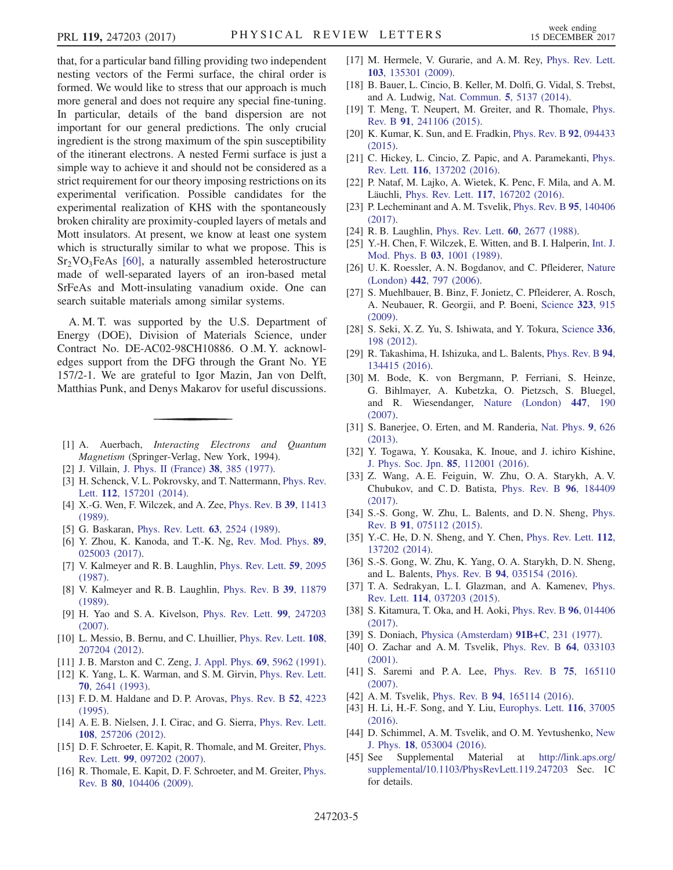that, for a particular band filling providing two independent nesting vectors of the Fermi surface, the chiral order is formed. We would like to stress that our approach is much more general and does not require any special fine-tuning. In particular, details of the band dispersion are not important for our general predictions. The only crucial ingredient is the strong maximum of the spin susceptibility of the itinerant electrons. A nested Fermi surface is just a simple way to achieve it and should not be considered as a strict requirement for our theory imposing restrictions on its experimental verification. Possible candidates for the experimental realization of KHS with the spontaneously broken chirality are proximity-coupled layers of metals and Mott insulators. At present, we know at least one system which is structurally similar to what we propose. This is  $Sr<sub>2</sub>VO<sub>3</sub>FeAs$  [\[60\],](#page-5-10) a naturally assembled heterostructure made of well-separated layers of an iron-based metal SrFeAs and Mott-insulating vanadium oxide. One can search suitable materials among similar systems.

A. M. T. was supported by the U.S. Department of Energy (DOE), Division of Materials Science, under Contract No. DE-AC02-98CH10886. O .M. Y. acknowledges support from the DFG through the Grant No. YE 157/2-1. We are grateful to Igor Mazin, Jan von Delft, Matthias Punk, and Denys Makarov for useful discussions.

- <span id="page-4-1"></span><span id="page-4-0"></span>[1] A. Auerbach, Interacting Electrons and Quantum Magnetism (Springer-Verlag, New York, 1994).
- <span id="page-4-2"></span>[2] J. Villain, [J. Phys. II \(France\)](https://doi.org/10.1051/jphys:01977003804038500) 38, 385 (1977).
- <span id="page-4-3"></span>[3] H. Schenck, V. L. Pokrovsky, and T. Nattermann, [Phys. Rev.](https://doi.org/10.1103/PhysRevLett.112.157201) Lett. 112[, 157201 \(2014\)](https://doi.org/10.1103/PhysRevLett.112.157201).
- [4] X.-G. Wen, F. Wilczek, and A. Zee, *[Phys. Rev. B](https://doi.org/10.1103/PhysRevB.39.11413)* 39, 11413 [\(1989\).](https://doi.org/10.1103/PhysRevB.39.11413)
- <span id="page-4-4"></span>[5] G. Baskaran, [Phys. Rev. Lett.](https://doi.org/10.1103/PhysRevLett.63.2524) **63**, 2524 (1989).
- <span id="page-4-5"></span>[6] Y. Zhou, K. Kanoda, and T.-K. Ng, [Rev. Mod. Phys.](https://doi.org/10.1103/RevModPhys.89.025003) 89, [025003 \(2017\).](https://doi.org/10.1103/RevModPhys.89.025003)
- [7] V. Kalmeyer and R. B. Laughlin, [Phys. Rev. Lett.](https://doi.org/10.1103/PhysRevLett.59.2095) 59, 2095 [\(1987\).](https://doi.org/10.1103/PhysRevLett.59.2095)
- [8] V. Kalmeyer and R. B. Laughlin, [Phys. Rev. B](https://doi.org/10.1103/PhysRevB.39.11879) 39, 11879 [\(1989\).](https://doi.org/10.1103/PhysRevB.39.11879)
- [9] H. Yao and S. A. Kivelson, [Phys. Rev. Lett.](https://doi.org/10.1103/PhysRevLett.99.247203) 99, 247203 [\(2007\).](https://doi.org/10.1103/PhysRevLett.99.247203)
- <span id="page-4-6"></span>[10] L. Messio, B. Bernu, and C. Lhuillier, [Phys. Rev. Lett.](https://doi.org/10.1103/PhysRevLett.108.207204) 108, [207204 \(2012\).](https://doi.org/10.1103/PhysRevLett.108.207204)
- [11] J. B. Marston and C. Zeng, [J. Appl. Phys.](https://doi.org/10.1063/1.347830) 69, 5962 (1991).
- [12] K. Yang, L. K. Warman, and S. M. Girvin, [Phys. Rev. Lett.](https://doi.org/10.1103/PhysRevLett.70.2641) 70[, 2641 \(1993\)](https://doi.org/10.1103/PhysRevLett.70.2641).
- [13] F. D. M. Haldane and D. P. Arovas, [Phys. Rev. B](https://doi.org/10.1103/PhysRevB.52.4223) **52**, 4223 [\(1995\).](https://doi.org/10.1103/PhysRevB.52.4223)
- <span id="page-4-12"></span>[14] A. E. B. Nielsen, J. I. Cirac, and G. Sierra, [Phys. Rev. Lett.](https://doi.org/10.1103/PhysRevLett.108.257206) 108[, 257206 \(2012\).](https://doi.org/10.1103/PhysRevLett.108.257206)
- [15] D. F. Schroeter, E. Kapit, R. Thomale, and M. Greiter, [Phys.](https://doi.org/10.1103/PhysRevLett.99.097202) Rev. Lett. 99[, 097202 \(2007\).](https://doi.org/10.1103/PhysRevLett.99.097202)
- [16] R. Thomale, E. Kapit, D. F. Schroeter, and M. Greiter, *[Phys.](https://doi.org/10.1103/PhysRevB.80.104406)* Rev. B 80[, 104406 \(2009\).](https://doi.org/10.1103/PhysRevB.80.104406)
- <span id="page-4-7"></span>[17] M. Hermele, V. Gurarie, and A. M. Rey, [Phys. Rev. Lett.](https://doi.org/10.1103/PhysRevLett.103.135301) 103[, 135301 \(2009\).](https://doi.org/10.1103/PhysRevLett.103.135301)
- [18] B. Bauer, L. Cincio, B. Keller, M. Dolfi, G. Vidal, S. Trebst, and A. Ludwig, [Nat. Commun.](https://doi.org/10.1038/ncomms6137) 5, 5137 (2014).
- [19] T. Meng, T. Neupert, M. Greiter, and R. Thomale, [Phys.](https://doi.org/10.1103/PhysRevB.91.241106) Rev. B 91[, 241106 \(2015\).](https://doi.org/10.1103/PhysRevB.91.241106)
- [20] K. Kumar, K. Sun, and E. Fradkin, *[Phys. Rev. B](https://doi.org/10.1103/PhysRevB.92.094433)* 92, 094433 [\(2015\).](https://doi.org/10.1103/PhysRevB.92.094433)
- [21] C. Hickey, L. Cincio, Z. Papic, and A. Paramekanti, [Phys.](https://doi.org/10.1103/PhysRevLett.116.137202) Rev. Lett. 116[, 137202 \(2016\).](https://doi.org/10.1103/PhysRevLett.116.137202)
- [22] P. Nataf, M. Lajko, A. Wietek, K. Penc, F. Mila, and A. M. Läuchli, Phys. Rev. Lett. 117[, 167202 \(2016\)](https://doi.org/10.1103/PhysRevLett.117.167202).
- [23] P. Lecheminant and A. M. Tsvelik, [Phys. Rev. B](https://doi.org/10.1103/PhysRevB.95.140406) 95, 140406 [\(2017\).](https://doi.org/10.1103/PhysRevB.95.140406)
- <span id="page-4-8"></span>[24] R. B. Laughlin, [Phys. Rev. Lett.](https://doi.org/10.1103/PhysRevLett.60.2677) **60**, 2677 (1988).
- [25] Y.-H. Chen, F. Wilczek, E. Witten, and B. I. Halperin, [Int. J.](https://doi.org/10.1142/S0217979289000725) [Mod. Phys. B](https://doi.org/10.1142/S0217979289000725) 03, 1001 (1989).
- <span id="page-4-9"></span>[26] U. K. Roessler, A. N. Bogdanov, and C. Pfleiderer, [Nature](https://doi.org/10.1038/nature05056) (London) 442[, 797 \(2006\)](https://doi.org/10.1038/nature05056).
- [27] S. Muehlbauer, B. Binz, F. Jonietz, C. Pfleiderer, A. Rosch, A. Neubauer, R. Georgii, and P. Boeni, [Science](https://doi.org/10.1126/science.1166767) 323, 915 [\(2009\).](https://doi.org/10.1126/science.1166767)
- [28] S. Seki, X. Z. Yu, S. Ishiwata, and Y. Tokura, [Science](https://doi.org/10.1126/science.1214143) 336, [198 \(2012\)](https://doi.org/10.1126/science.1214143).
- [29] R. Takashima, H. Ishizuka, and L. Balents, [Phys. Rev. B](https://doi.org/10.1103/PhysRevB.94.134415) 94, [134415 \(2016\).](https://doi.org/10.1103/PhysRevB.94.134415)
- <span id="page-4-10"></span>[30] M. Bode, K. von Bergmann, P. Ferriani, S. Heinze, G. Bihlmayer, A. Kubetzka, O. Pietzsch, S. Bluegel, and R. Wiesendanger, [Nature \(London\)](https://doi.org/10.1038/nature05802) 447, 190 [\(2007\).](https://doi.org/10.1038/nature05802)
- [31] S. Banerjee, O. Erten, and M. Randeria, [Nat. Phys.](https://doi.org/10.1038/nphys2702) 9, 626 [\(2013\).](https://doi.org/10.1038/nphys2702)
- [32] Y. Togawa, Y. Kousaka, K. Inoue, and J. ichiro Kishine, [J. Phys. Soc. Jpn.](https://doi.org/10.7566/JPSJ.85.112001) 85, 112001 (2016).
- [33] Z. Wang, A. E. Feiguin, W. Zhu, O. A. Starykh, A. V. Chubukov, and C. D. Batista, [Phys. Rev. B](https://doi.org/10.1103/PhysRevB.96.184409) 96, 184409 [\(2017\).](https://doi.org/10.1103/PhysRevB.96.184409)
- <span id="page-4-11"></span>[34] S.-S. Gong, W. Zhu, L. Balents, and D. N. Sheng, [Phys.](https://doi.org/10.1103/PhysRevB.91.075112) Rev. B 91[, 075112 \(2015\).](https://doi.org/10.1103/PhysRevB.91.075112)
- [35] Y.-C. He, D. N. Sheng, and Y. Chen, [Phys. Rev. Lett.](https://doi.org/10.1103/PhysRevLett.112.137202) 112, [137202 \(2014\).](https://doi.org/10.1103/PhysRevLett.112.137202)
- [36] S.-S. Gong, W. Zhu, K. Yang, O. A. Starykh, D. N. Sheng, and L. Balents, Phys. Rev. B 94[, 035154 \(2016\)](https://doi.org/10.1103/PhysRevB.94.035154).
- <span id="page-4-13"></span>[37] T. A. Sedrakyan, L. I. Glazman, and A. Kamenev, [Phys.](https://doi.org/10.1103/PhysRevLett.114.037203) Rev. Lett. 114[, 037203 \(2015\).](https://doi.org/10.1103/PhysRevLett.114.037203)
- <span id="page-4-14"></span>[38] S. Kitamura, T. Oka, and H. Aoki, [Phys. Rev. B](https://doi.org/10.1103/PhysRevB.96.014406) 96, 014406 [\(2017\).](https://doi.org/10.1103/PhysRevB.96.014406)
- <span id="page-4-15"></span>[39] S. Doniach, [Physica \(Amsterdam\)](https://doi.org/10.1016/0378-4363(77)90190-5)  $91B+C$ , 231 (1977).
- [40] O. Zachar and A. M. Tsvelik, [Phys. Rev. B](https://doi.org/10.1103/PhysRevB.64.033103) 64, 033103 [\(2001\).](https://doi.org/10.1103/PhysRevB.64.033103)
- [41] S. Saremi and P.A. Lee, [Phys. Rev. B](https://doi.org/10.1103/PhysRevB.75.165110) 75, 165110 [\(2007\).](https://doi.org/10.1103/PhysRevB.75.165110)
- [42] A. M. Tsvelik, Phys. Rev. B 94[, 165114 \(2016\).](https://doi.org/10.1103/PhysRevB.94.165114)
- <span id="page-4-16"></span>[43] H. Li, H.-F. Song, and Y. Liu, [Europhys. Lett.](https://doi.org/10.1209/0295-5075/116/37005) 116, 37005 [\(2016\).](https://doi.org/10.1209/0295-5075/116/37005)
- <span id="page-4-17"></span>[44] D. Schimmel, A. M. Tsvelik, and O. M. Yevtushenko, [New](https://doi.org/10.1088/1367-2630/18/5/053004) J. Phys. 18[, 053004 \(2016\)](https://doi.org/10.1088/1367-2630/18/5/053004).
- [45] See Supplemental Material at [http://link.aps.org/](http://link.aps.org/supplemental/10.1103/PhysRevLett.119.247203) [supplemental/10.1103/PhysRevLett.119.247203](http://link.aps.org/supplemental/10.1103/PhysRevLett.119.247203) Sec. 1C for details.